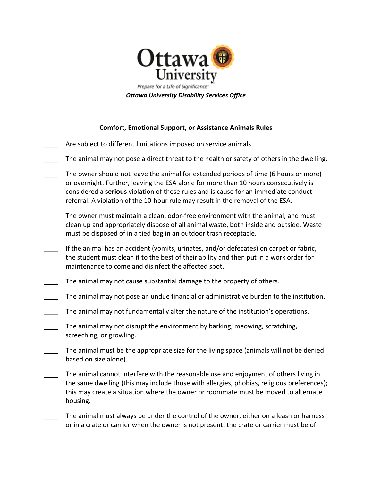

| <b>Comfort, Emotional Support, or Assistance Animals Rules</b> |                                                                                                                                                                                                                                                                                                                                                        |  |
|----------------------------------------------------------------|--------------------------------------------------------------------------------------------------------------------------------------------------------------------------------------------------------------------------------------------------------------------------------------------------------------------------------------------------------|--|
|                                                                | Are subject to different limitations imposed on service animals                                                                                                                                                                                                                                                                                        |  |
|                                                                | The animal may not pose a direct threat to the health or safety of others in the dwelling.                                                                                                                                                                                                                                                             |  |
|                                                                | The owner should not leave the animal for extended periods of time (6 hours or more)<br>or overnight. Further, leaving the ESA alone for more than 10 hours consecutively is<br>considered a serious violation of these rules and is cause for an immediate conduct<br>referral. A violation of the 10-hour rule may result in the removal of the ESA. |  |
|                                                                | The owner must maintain a clean, odor-free environment with the animal, and must<br>clean up and appropriately dispose of all animal waste, both inside and outside. Waste<br>must be disposed of in a tied bag in an outdoor trash receptacle.                                                                                                        |  |
|                                                                | If the animal has an accident (vomits, urinates, and/or defecates) on carpet or fabric,<br>the student must clean it to the best of their ability and then put in a work order for<br>maintenance to come and disinfect the affected spot.                                                                                                             |  |
|                                                                | The animal may not cause substantial damage to the property of others.                                                                                                                                                                                                                                                                                 |  |
|                                                                | The animal may not pose an undue financial or administrative burden to the institution.                                                                                                                                                                                                                                                                |  |
|                                                                | The animal may not fundamentally alter the nature of the institution's operations.                                                                                                                                                                                                                                                                     |  |
|                                                                | The animal may not disrupt the environment by barking, meowing, scratching,<br>screeching, or growling.                                                                                                                                                                                                                                                |  |
|                                                                | The animal must be the appropriate size for the living space (animals will not be denied<br>based on size alone).                                                                                                                                                                                                                                      |  |
|                                                                | The animal cannot interfere with the reasonable use and enjoyment of others living in<br>the same dwelling (this may include those with allergies, phobias, religious preferences);<br>this may create a situation where the owner or roommate must be moved to alternate<br>housing.                                                                  |  |

The animal must always be under the control of the owner, either on a leash or harness or in a crate or carrier when the owner is not present; the crate or carrier must be of